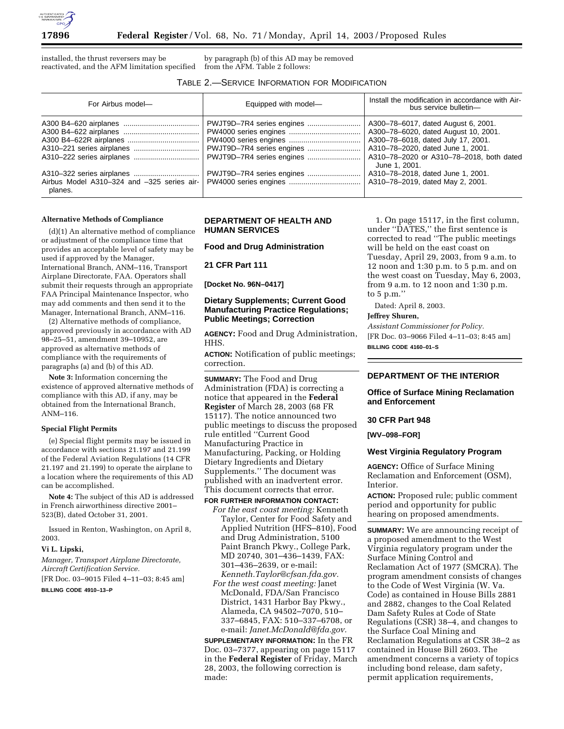

installed, the thrust reversers may be reactivated, and the AFM limitation specified

by paragraph (b) of this AD may be removed from the AFM. Table 2 follows:

# TABLE 2.—SERVICE INFORMATION FOR MODIFICATION

| For Airbus model-                                     | Equipped with model-                                                                | Install the modification in accordance with Air-<br>bus service bulletin-                                                                                                                                           |
|-------------------------------------------------------|-------------------------------------------------------------------------------------|---------------------------------------------------------------------------------------------------------------------------------------------------------------------------------------------------------------------|
|                                                       | PWJT9D-7R4 series engines<br>PWJT9D-7R4 series engines<br>PWJT9D-7R4 series engines | A300-78-6017, dated August 6, 2001.<br>A300-78-6020, dated August 10, 2001.<br>A300-78-6018, dated July 17, 2001.<br>A310-78-2020, dated June 1, 2001.<br>A310-78-2020 or A310-78-2018, both dated<br>June 1, 2001. |
| Airbus Model A310-324 and -325 series air-<br>planes. | PWJT9D-7R4 series engines                                                           | A310-78-2018, dated June 1, 2001.<br>A310-78-2019, dated May 2, 2001.                                                                                                                                               |

#### **Alternative Methods of Compliance**

(d)(1) An alternative method of compliance or adjustment of the compliance time that provides an acceptable level of safety may be used if approved by the Manager, International Branch, ANM–116, Transport Airplane Directorate, FAA. Operators shall submit their requests through an appropriate FAA Principal Maintenance Inspector, who may add comments and then send it to the Manager, International Branch, ANM–116.

(2) Alternative methods of compliance, approved previously in accordance with AD 98–25–51, amendment 39–10952, are approved as alternative methods of compliance with the requirements of paragraphs (a) and (b) of this AD.

**Note 3:** Information concerning the existence of approved alternative methods of compliance with this AD, if any, may be obtained from the International Branch, ANM–116.

### **Special Flight Permits**

(e) Special flight permits may be issued in accordance with sections 21.197 and 21.199 of the Federal Aviation Regulations (14 CFR 21.197 and 21.199) to operate the airplane to a location where the requirements of this AD can be accomplished.

**Note 4:** The subject of this AD is addressed in French airworthiness directive 2001– 523(B), dated October 31, 2001.

Issued in Renton, Washington, on April 8, 2003.

#### **Vi L. Lipski,**

*Manager, Transport Airplane Directorate, Aircraft Certification Service.*

[FR Doc. 03–9015 Filed 4–11–03; 8:45 am]

#### **BILLING CODE 4910–13–P**

## **DEPARTMENT OF HEALTH AND HUMAN SERVICES**

**Food and Drug Administration**

**21 CFR Part 111**

**[Docket No. 96N–0417]**

## **Dietary Supplements; Current Good Manufacturing Practice Regulations; Public Meetings; Correction**

**AGENCY:** Food and Drug Administration, HHS.

**ACTION:** Notification of public meetings; correction.

**SUMMARY:** The Food and Drug Administration (FDA) is correcting a notice that appeared in the **Federal Register** of March 28, 2003 (68 FR 15117). The notice announced two public meetings to discuss the proposed rule entitled ''Current Good Manufacturing Practice in Manufacturing, Packing, or Holding Dietary Ingredients and Dietary Supplements.'' The document was published with an inadvertent error. This document corrects that error.

### **FOR FURTHER INFORMATION CONTACT:**

*For the east coast meeting:* Kenneth Taylor, Center for Food Safety and Applied Nutrition (HFS–810), Food and Drug Administration, 5100 Paint Branch Pkwy., College Park, MD 20740, 301–436–1439, FAX: 301–436–2639, or e-mail: *Kenneth.Taylor@cfsan.fda.gov. For the west coast meeting:* Janet McDonald, FDA/San Francisco District, 1431 Harbor Bay Pkwy., Alameda, CA 94502–7070, 510– 337–6845, FAX: 510–337–6708, or e-mail: *Janet.McDonald@fda.gov.*

**SUPPLEMENTARY INFORMATION:** In the FR Doc. 03–7377, appearing on page 15117 in the **Federal Register** of Friday, March 28, 2003, the following correction is made:

1. On page 15117, in the first column, under ''DATES,'' the first sentence is corrected to read ''The public meetings will be held on the east coast on Tuesday, April 29, 2003, from 9 a.m. to 12 noon and 1:30 p.m. to 5 p.m. and on the west coast on Tuesday, May 6, 2003, from 9 a.m. to 12 noon and 1:30 p.m. to 5 p.m.''

Dated: April 8, 2003.

### **Jeffrey Shuren,**

*Assistant Commissioner for Policy.* [FR Doc. 03–9066 Filed 4–11–03; 8:45 am] **BILLING CODE 4160–01–S**

# **DEPARTMENT OF THE INTERIOR**

### **Office of Surface Mining Reclamation and Enforcement**

# **30 CFR Part 948**

**[WV–098–FOR]** 

#### **West Virginia Regulatory Program**

**AGENCY:** Office of Surface Mining Reclamation and Enforcement (OSM), Interior.

**ACTION:** Proposed rule; public comment period and opportunity for public hearing on proposed amendments.

**SUMMARY:** We are announcing receipt of a proposed amendment to the West Virginia regulatory program under the Surface Mining Control and Reclamation Act of 1977 (SMCRA). The program amendment consists of changes to the Code of West Virginia (W. Va. Code) as contained in House Bills 2881 and 2882, changes to the Coal Related Dam Safety Rules at Code of State Regulations (CSR) 38–4, and changes to the Surface Coal Mining and Reclamation Regulations at CSR 38–2 as contained in House Bill 2603. The amendment concerns a variety of topics including bond release, dam safety, permit application requirements,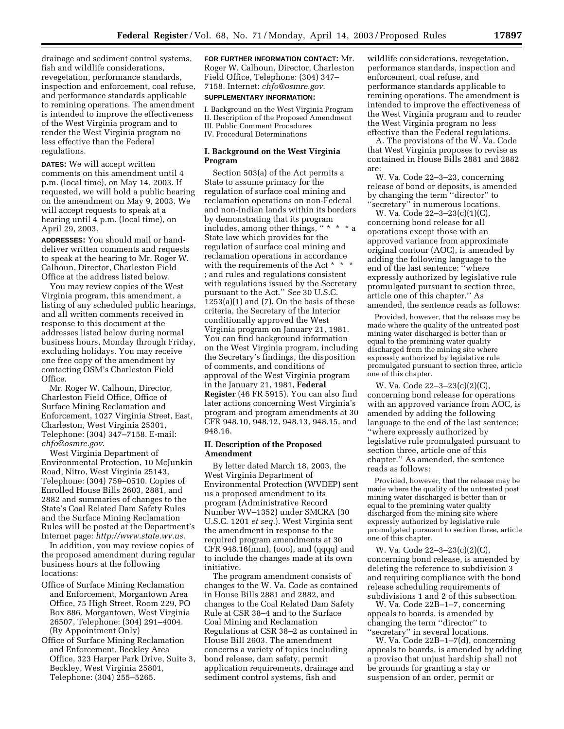drainage and sediment control systems, fish and wildlife considerations, revegetation, performance standards, inspection and enforcement, coal refuse, and performance standards applicable to remining operations. The amendment is intended to improve the effectiveness of the West Virginia program and to render the West Virginia program no less effective than the Federal regulations.

**DATES:** We will accept written comments on this amendment until 4 p.m. (local time), on May 14, 2003. If requested, we will hold a public hearing on the amendment on May 9, 2003. We will accept requests to speak at a hearing until 4 p.m. (local time), on April 29, 2003.

**ADDRESSES:** You should mail or handdeliver written comments and requests to speak at the hearing to Mr. Roger W. Calhoun, Director, Charleston Field Office at the address listed below.

You may review copies of the West Virginia program, this amendment, a listing of any scheduled public hearings, and all written comments received in response to this document at the addresses listed below during normal business hours, Monday through Friday, excluding holidays. You may receive one free copy of the amendment by contacting OSM's Charleston Field Office.

Mr. Roger W. Calhoun, Director, Charleston Field Office, Office of Surface Mining Reclamation and Enforcement, 1027 Virginia Street, East, Charleston, West Virginia 25301, Telephone: (304) 347–7158. E-mail: *chfo@osmre.gov*.

West Virginia Department of Environmental Protection, 10 McJunkin Road, Nitro, West Virginia 25143, Telephone: (304) 759–0510. Copies of Enrolled House Bills 2603, 2881, and 2882 and summaries of changes to the State's Coal Related Dam Safety Rules and the Surface Mining Reclamation Rules will be posted at the Department's Internet page: *http://www.state.wv.us.*

In addition, you may review copies of the proposed amendment during regular business hours at the following locations:

Office of Surface Mining Reclamation and Enforcement, Morgantown Area Office, 75 High Street, Room 229, PO Box 886, Morgantown, West Virginia 26507, Telephone: (304) 291–4004. (By Appointment Only)

Office of Surface Mining Reclamation and Enforcement, Beckley Area Office, 323 Harper Park Drive, Suite 3, Beckley, West Virginia 25801, Telephone: (304) 255–5265.

**FOR FURTHER INFORMATION CONTACT:** Mr. Roger W. Calhoun, Director, Charleston Field Office, Telephone: (304) 347– 7158. Internet: *chfo@osmre.gov*.

### **SUPPLEMENTARY INFORMATION:**

I. Background on the West Virginia Program II. Description of the Proposed Amendment III. Public Comment Procedures IV. Procedural Determinations

# **I. Background on the West Virginia Program**

Section 503(a) of the Act permits a State to assume primacy for the regulation of surface coal mining and reclamation operations on non-Federal and non-Indian lands within its borders by demonstrating that its program includes, among other things, '' \* \* \* a State law which provides for the regulation of surface coal mining and reclamation operations in accordance with the requirements of the Act  $*$ ; and rules and regulations consistent with regulations issued by the Secretary pursuant to the Act.'' *See* 30 U.S.C.  $1253(a)(1)$  and  $(7)$ . On the basis of these criteria, the Secretary of the Interior conditionally approved the West Virginia program on January 21, 1981. You can find background information on the West Virginia program, including the Secretary's findings, the disposition of comments, and conditions of approval of the West Virginia program in the January 21, 1981, **Federal Register** (46 FR 5915). You can also find later actions concerning West Virginia's program and program amendments at 30 CFR 948.10, 948.12, 948.13, 948.15, and 948.16.

### **II. Description of the Proposed Amendment**

By letter dated March 18, 2003, the West Virginia Department of Environmental Protection (WVDEP) sent us a proposed amendment to its program (Administrative Record Number WV–1352) under SMCRA (30 U.S.C. 1201 *et seq.*). West Virginia sent the amendment in response to the required program amendments at 30 CFR 948.16(nnn), (ooo), and (qqqq) and to include the changes made at its own initiative.

The program amendment consists of changes to the W. Va. Code as contained in House Bills 2881 and 2882, and changes to the Coal Related Dam Safety Rule at CSR 38–4 and to the Surface Coal Mining and Reclamation Regulations at CSR 38–2 as contained in House Bill 2603. The amendment concerns a variety of topics including bond release, dam safety, permit application requirements, drainage and sediment control systems, fish and

wildlife considerations, revegetation, performance standards, inspection and enforcement, coal refuse, and performance standards applicable to remining operations. The amendment is intended to improve the effectiveness of the West Virginia program and to render the West Virginia program no less effective than the Federal regulations.

A. The provisions of the W. Va. Code that West Virginia proposes to revise as contained in House Bills 2881 and 2882 are:

W. Va. Code 22–3–23, concerning release of bond or deposits, is amended by changing the term ''director'' to ''secretary'' in numerous locations.

W. Va. Code 22–3–23(c)(1)(C), concerning bond release for all operations except those with an approved variance from approximate original contour (AOC), is amended by adding the following language to the end of the last sentence: ''where expressly authorized by legislative rule promulgated pursuant to section three, article one of this chapter.'' As amended, the sentence reads as follows:

Provided, however, that the release may be made where the quality of the untreated post mining water discharged is better than or equal to the premining water quality discharged from the mining site where expressly authorized by legislative rule promulgated pursuant to section three, article one of this chapter.

W. Va. Code 22–3–23(c)(2)(C), concerning bond release for operations with an approved variance from AOC, is amended by adding the following language to the end of the last sentence: ''where expressly authorized by legislative rule promulgated pursuant to section three, article one of this chapter.'' As amended, the sentence reads as follows:

Provided, however, that the release may be made where the quality of the untreated post mining water discharged is better than or equal to the premining water quality discharged from the mining site where expressly authorized by legislative rule promulgated pursuant to section three, article one of this chapter.

W. Va. Code 22–3–23(c)(2)(C), concerning bond release, is amended by deleting the reference to subdivision 3 and requiring compliance with the bond release scheduling requirements of subdivisions 1 and 2 of this subsection.

W. Va. Code 22B–1–7, concerning appeals to boards, is amended by changing the term ''director'' to ''secretary'' in several locations.

W. Va. Code 22B–1–7(d), concerning appeals to boards, is amended by adding a proviso that unjust hardship shall not be grounds for granting a stay or suspension of an order, permit or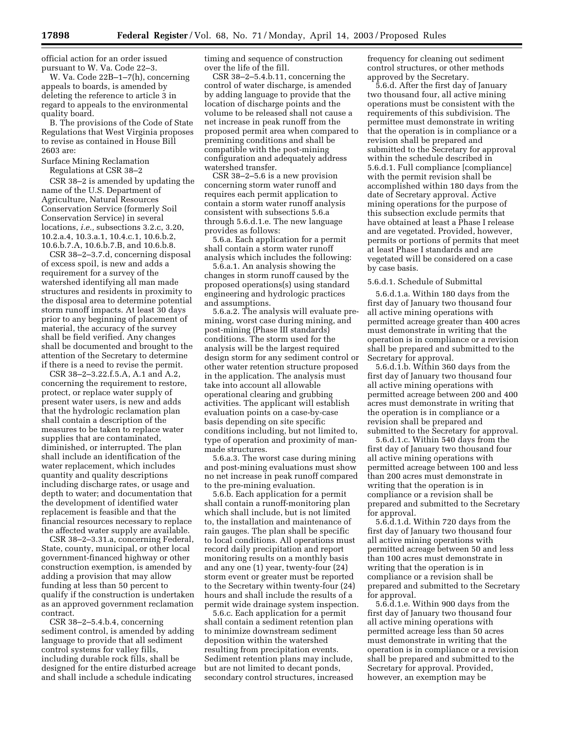official action for an order issued pursuant to W. Va. Code 22–3.

W. Va. Code 22B–1–7(h), concerning appeals to boards, is amended by deleting the reference to article 3 in regard to appeals to the environmental quality board.

B. The provisions of the Code of State Regulations that West Virginia proposes to revise as contained in House Bill 2603 are:

Surface Mining Reclamation

Regulations at CSR 38–2

CSR 38–2 is amended by updating the name of the U.S. Department of Agriculture, Natural Resources Conservation Service (formerly Soil Conservation Service) in several locations, *i.e.,* subsections 3.2.c, 3.20, 10.2.a.4, 10.3.a.1, 10.4.c.1, 10.6.b.2, 10.6.b.7.A, 10.6.b.7.B, and 10.6.b.8.

CSR 38–2–3.7.d, concerning disposal of excess spoil, is new and adds a requirement for a survey of the watershed identifying all man made structures and residents in proximity to the disposal area to determine potential storm runoff impacts. At least 30 days prior to any beginning of placement of material, the accuracy of the survey shall be field verified. Any changes shall be documented and brought to the attention of the Secretary to determine if there is a need to revise the permit.

CSR 38–2–3.22.f.5.A, A.1 and A.2, concerning the requirement to restore, protect, or replace water supply of present water users, is new and adds that the hydrologic reclamation plan shall contain a description of the measures to be taken to replace water supplies that are contaminated, diminished, or interrupted. The plan shall include an identification of the water replacement, which includes quantity and quality descriptions including discharge rates, or usage and depth to water; and documentation that the development of identified water replacement is feasible and that the financial resources necessary to replace the affected water supply are available.

CSR 38–2–3.31.a, concerning Federal, State, county, municipal, or other local government-financed highway or other construction exemption, is amended by adding a provision that may allow funding at less than 50 percent to qualify if the construction is undertaken as an approved government reclamation contract.

CSR 38–2–5.4.b.4, concerning sediment control, is amended by adding language to provide that all sediment control systems for valley fills, including durable rock fills, shall be designed for the entire disturbed acreage and shall include a schedule indicating

timing and sequence of construction over the life of the fill.

CSR 38–2–5.4.b.11, concerning the control of water discharge, is amended by adding language to provide that the location of discharge points and the volume to be released shall not cause a net increase in peak runoff from the proposed permit area when compared to premining conditions and shall be compatible with the post-mining configuration and adequately address watershed transfer.

CSR 38–2–5.6 is a new provision concerning storm water runoff and requires each permit application to contain a storm water runoff analysis consistent with subsections 5.6.a through 5.6.d.1.e. The new language provides as follows:

5.6.a. Each application for a permit shall contain a storm water runoff analysis which includes the following:

5.6.a.1. An analysis showing the changes in storm runoff caused by the proposed operations(s) using standard engineering and hydrologic practices and assumptions.

5.6.a.2. The analysis will evaluate premining, worst case during mining, and post-mining (Phase III standards) conditions. The storm used for the analysis will be the largest required design storm for any sediment control or other water retention structure proposed in the application. The analysis must take into account all allowable operational clearing and grubbing activities. The applicant will establish evaluation points on a case-by-case basis depending on site specific conditions including, but not limited to, type of operation and proximity of manmade structures.

5.6.a.3. The worst case during mining and post-mining evaluations must show no net increase in peak runoff compared to the pre-mining evaluation.

5.6.b. Each application for a permit shall contain a runoff-monitoring plan which shall include, but is not limited to, the installation and maintenance of rain gauges. The plan shall be specific to local conditions. All operations must record daily precipitation and report monitoring results on a monthly basis and any one (1) year, twenty-four (24) storm event or greater must be reported to the Secretary within twenty-four (24) hours and shall include the results of a permit wide drainage system inspection.

5.6.c. Each application for a permit shall contain a sediment retention plan to minimize downstream sediment deposition within the watershed resulting from precipitation events. Sediment retention plans may include, but are not limited to decant ponds, secondary control structures, increased

frequency for cleaning out sediment control structures, or other methods approved by the Secretary.

5.6.d. After the first day of January two thousand four, all active mining operations must be consistent with the requirements of this subdivision. The permittee must demonstrate in writing that the operation is in compliance or a revision shall be prepared and submitted to the Secretary for approval within the schedule described in 5.6.d.1. Full compliance [compliance] with the permit revision shall be accomplished within 180 days from the date of Secretary approval. Active mining operations for the purpose of this subsection exclude permits that have obtained at least a Phase I release and are vegetated. Provided, however, permits or portions of permits that meet at least Phase I standards and are vegetated will be considered on a case by case basis.

5.6.d.1. Schedule of Submittal

5.6.d.1.a. Within 180 days from the first day of January two thousand four all active mining operations with permitted acreage greater than 400 acres must demonstrate in writing that the operation is in compliance or a revision shall be prepared and submitted to the Secretary for approval.

5.6.d.1.b. Within 360 days from the first day of January two thousand four all active mining operations with permitted acreage between 200 and 400 acres must demonstrate in writing that the operation is in compliance or a revision shall be prepared and submitted to the Secretary for approval.

5.6.d.1.c. Within 540 days from the first day of January two thousand four all active mining operations with permitted acreage between 100 and less than 200 acres must demonstrate in writing that the operation is in compliance or a revision shall be prepared and submitted to the Secretary for approval.

5.6.d.1.d. Within 720 days from the first day of January two thousand four all active mining operations with permitted acreage between 50 and less than 100 acres must demonstrate in writing that the operation is in compliance or a revision shall be prepared and submitted to the Secretary for approval.

5.6.d.1.e. Within 900 days from the first day of January two thousand four all active mining operations with permitted acreage less than 50 acres must demonstrate in writing that the operation is in compliance or a revision shall be prepared and submitted to the Secretary for approval. Provided, however, an exemption may be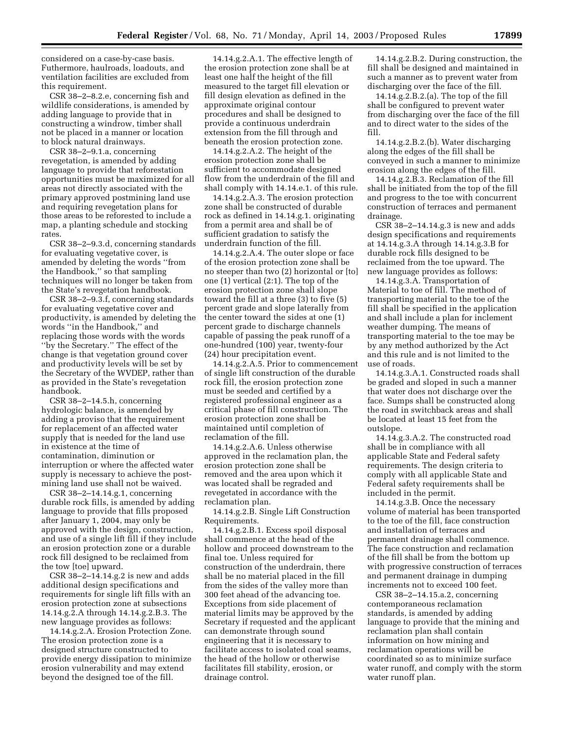considered on a case-by-case basis. Futhermore, haulroads, loadouts, and ventilation facilities are excluded from this requirement.

CSR 38–2–8.2.e, concerning fish and wildlife considerations, is amended by adding language to provide that in constructing a windrow, timber shall not be placed in a manner or location to block natural drainways.

CSR 38–2–9.1.a, concerning revegetation, is amended by adding language to provide that reforestation opportunities must be maximized for all areas not directly associated with the primary approved postmining land use and requiring revegetation plans for those areas to be reforested to include a map, a planting schedule and stocking rates.

CSR 38–2–9.3.d, concerning standards for evaluating vegetative cover, is amended by deleting the words ''from the Handbook,'' so that sampling techniques will no longer be taken from the State's revegetation handbook.

CSR 38–2–9.3.f, concerning standards for evaluating vegetative cover and productivity, is amended by deleting the words ''in the Handbook,'' and replacing those words with the words ''by the Secretary.'' The effect of the change is that vegetation ground cover and productivity levels will be set by the Secretary of the WVDEP, rather than as provided in the State's revegetation handbook.

CSR 38–2–14.5.h, concerning hydrologic balance, is amended by adding a proviso that the requirement for replacement of an affected water supply that is needed for the land use in existence at the time of contamination, diminution or interruption or where the affected water supply is necessary to achieve the postmining land use shall not be waived.

CSR 38–2–14.14.g.1, concerning durable rock fills, is amended by adding language to provide that fills proposed after January 1, 2004, may only be approved with the design, construction, and use of a single lift fill if they include an erosion protection zone or a durable rock fill designed to be reclaimed from the tow [toe] upward.

CSR 38–2–14.14.g.2 is new and adds additional design specifications and requirements for single lift fills with an erosion protection zone at subsections 14.14.g.2.A through 14.14.g.2.B.3. The new language provides as follows:

14.14.g.2.A. Erosion Protection Zone. The erosion protection zone is a designed structure constructed to provide energy dissipation to minimize erosion vulnerability and may extend beyond the designed toe of the fill.

14.14.g.2.A.1. The effective length of the erosion protection zone shall be at least one half the height of the fill measured to the target fill elevation or fill design elevation as defined in the approximate original contour procedures and shall be designed to provide a continuous underdrain extension from the fill through and beneath the erosion protection zone.

14.14.g.2.A.2. The height of the erosion protection zone shall be sufficient to accommodate designed flow from the underdrain of the fill and shall comply with 14.14.e.1. of this rule.

14.14.g.2.A.3. The erosion protection zone shall be constructed of durable rock as defined in 14.14.g.1. originating from a permit area and shall be of sufficient gradation to satisfy the underdrain function of the fill.

14.14.g.2.A.4. The outer slope or face of the erosion protection zone shall be no steeper than two (2) horizontal or [to] one (1) vertical (2:1). The top of the erosion protection zone shall slope toward the fill at a three (3) to five (5) percent grade and slope laterally from the center toward the sides at one (1) percent grade to discharge channels capable of passing the peak runoff of a one-hundred (100) year, twenty-four (24) hour precipitation event.

14.14.g.2.A.5. Prior to commencement of single lift construction of the durable rock fill, the erosion protection zone must be seeded and certified by a registered professional engineer as a critical phase of fill construction. The erosion protection zone shall be maintained until completion of reclamation of the fill.

14.14.g.2.A.6. Unless otherwise approved in the reclamation plan, the erosion protection zone shall be removed and the area upon which it was located shall be regraded and revegetated in accordance with the reclamation plan.

14.14.g.2.B. Single Lift Construction Requirements.

14.14.g.2.B.1. Excess spoil disposal shall commence at the head of the hollow and proceed downstream to the final toe. Unless required for construction of the underdrain, there shall be no material placed in the fill from the sides of the valley more than 300 feet ahead of the advancing toe. Exceptions from side placement of material limits may be approved by the Secretary if requested and the applicant can demonstrate through sound engineering that it is necessary to facilitate access to isolated coal seams, the head of the hollow or otherwise facilitates fill stability, erosion, or drainage control.

14.14.g.2.B.2. During construction, the fill shall be designed and maintained in such a manner as to prevent water from discharging over the face of the fill.

14.14.g.2.B.2.(a). The top of the fill shall be configured to prevent water from discharging over the face of the fill and to direct water to the sides of the fill.

14.14.g.2.B.2.(b). Water discharging along the edges of the fill shall be conveyed in such a manner to minimize erosion along the edges of the fill.

14.14.g.2.B.3. Reclamation of the fill shall be initiated from the top of the fill and progress to the toe with concurrent construction of terraces and permanent drainage.

CSR 38–2–14.14.g.3 is new and adds design specifications and requirements at 14.14.g.3.A through 14.14.g.3.B for durable rock fills designed to be reclaimed from the toe upward. The new language provides as follows:

14.14.g.3.A. Transportation of Material to toe of fill. The method of transporting material to the toe of the fill shall be specified in the application and shall include a plan for inclement weather dumping. The means of transporting material to the toe may be by any method authorized by the Act and this rule and is not limited to the use of roads.

14.14.g.3.A.1. Constructed roads shall be graded and sloped in such a manner that water does not discharge over the face. Sumps shall be constructed along the road in switchback areas and shall be located at least 15 feet from the outslope.

14.14.g.3.A.2. The constructed road shall be in compliance with all applicable State and Federal safety requirements. The design criteria to comply with all applicable State and Federal safety requirements shall be included in the permit.

14.14.g.3.B. Once the necessary volume of material has been transported to the toe of the fill, face construction and installation of terraces and permanent drainage shall commence. The face construction and reclamation of the fill shall be from the bottom up with progressive construction of terraces and permanent drainage in dumping increments not to exceed 100 feet.

CSR 38–2–14.15.a.2, concerning contemporaneous reclamation standards, is amended by adding language to provide that the mining and reclamation plan shall contain information on how mining and reclamation operations will be coordinated so as to minimize surface water runoff, and comply with the storm water runoff plan.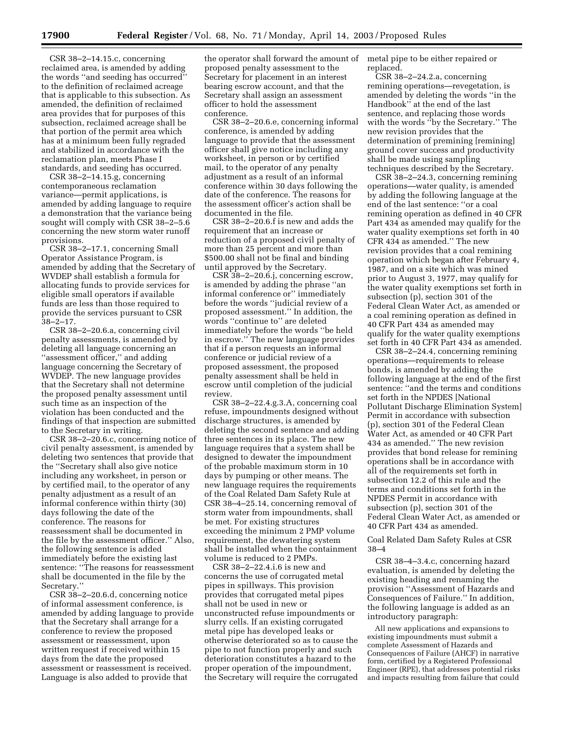CSR 38–2–14.15.c, concerning reclaimed area, is amended by adding the words ''and seeding has occurred'' to the definition of reclaimed acreage that is applicable to this subsection. As amended, the definition of reclaimed area provides that for purposes of this subsection, reclaimed acreage shall be that portion of the permit area which has at a minimum been fully regraded and stabilized in accordance with the reclamation plan, meets Phase I standards, and seeding has occurred.

CSR 38–2–14.15.g, concerning contemporaneous reclamation variance—permit applications, is amended by adding language to require a demonstration that the variance being sought will comply with CSR 38–2–5.6 concerning the new storm water runoff provisions.

CSR 38–2–17.1, concerning Small Operator Assistance Program, is amended by adding that the Secretary of WVDEP shall establish a formula for allocating funds to provide services for eligible small operators if available funds are less than those required to provide the services pursuant to CSR 38–2–17.

CSR 38–2–20.6.a, concerning civil penalty assessments, is amended by deleting all language concerning an ''assessment officer,'' and adding language concerning the Secretary of WVDEP. The new language provides that the Secretary shall not determine the proposed penalty assessment until such time as an inspection of the violation has been conducted and the findings of that inspection are submitted to the Secretary in writing.

CSR 38–2–20.6.c, concerning notice of civil penalty assessment, is amended by deleting two sentences that provide that the ''Secretary shall also give notice including any worksheet, in person or by certified mail, to the operator of any penalty adjustment as a result of an informal conference within thirty (30) days following the date of the conference. The reasons for reassessment shall be documented in the file by the assessment officer.'' Also, the following sentence is added immediately before the existing last sentence: ''The reasons for reassessment shall be documented in the file by the Secretary.''

CSR 38–2–20.6.d, concerning notice of informal assessment conference, is amended by adding language to provide that the Secretary shall arrange for a conference to review the proposed assessment or reassessment, upon written request if received within 15 days from the date the proposed assessment or reassessment is received. Language is also added to provide that

the operator shall forward the amount of proposed penalty assessment to the Secretary for placement in an interest bearing escrow account, and that the Secretary shall assign an assessment officer to hold the assessment conference.

CSR 38–2–20.6.e, concerning informal conference, is amended by adding language to provide that the assessment officer shall give notice including any worksheet, in person or by certified mail, to the operator of any penalty adjustment as a result of an informal conference within 30 days following the date of the conference. The reasons for the assessment officer's action shall be documented in the file.

CSR 38–2–20.6.f is new and adds the requirement that an increase or reduction of a proposed civil penalty of more than 25 percent and more than \$500.00 shall not be final and binding until approved by the Secretary.

CSR 38–2–20.6.j, concerning escrow, is amended by adding the phrase ''an informal conference or'' immediately before the words ''judicial review of a proposed assessment.'' In addition, the words ''continue to'' are deleted immediately before the words ''be held in escrow.'' The new language provides that if a person requests an informal conference or judicial review of a proposed assessment, the proposed penalty assessment shall be held in escrow until completion of the judicial review.

CSR 38–2–22.4.g.3.A, concerning coal refuse, impoundments designed without discharge structures, is amended by deleting the second sentence and adding three sentences in its place. The new language requires that a system shall be designed to dewater the impoundment of the probable maximum storm in 10 days by pumping or other means. The new language requires the requirements of the Coal Related Dam Safety Rule at CSR 38–4–25.14, concerning removal of storm water from impoundments, shall be met. For existing structures exceeding the minimum 2 PMP volume requirement, the dewatering system shall be installed when the containment volume is reduced to 2 PMPs.

CSR 38–2–22.4.i.6 is new and concerns the use of corrugated metal pipes in spillways. This provision provides that corrugated metal pipes shall not be used in new or unconstructed refuse impoundments or slurry cells. If an existing corrugated metal pipe has developed leaks or otherwise deteriorated so as to cause the pipe to not function properly and such deterioration constitutes a hazard to the proper operation of the impoundment, the Secretary will require the corrugated metal pipe to be either repaired or replaced.

CSR 38–2–24.2.a, concerning remining operations—revegetation, is amended by deleting the words ''in the Handbook'' at the end of the last sentence, and replacing those words with the words ''by the Secretary.'' The new revision provides that the determination of premining [remining] ground cover success and productivity shall be made using sampling techniques described by the Secretary.

CSR 38–2–24.3, concerning remining operations—water quality, is amended by adding the following language at the end of the last sentence: ''or a coal remining operation as defined in 40 CFR Part 434 as amended may qualify for the water quality exemptions set forth in 40 CFR 434 as amended.'' The new revision provides that a coal remining operation which began after February 4, 1987, and on a site which was mined prior to August 3, 1977, may qualify for the water quality exemptions set forth in subsection (p), section 301 of the Federal Clean Water Act, as amended or a coal remining operation as defined in 40 CFR Part 434 as amended may qualify for the water quality exemptions set forth in 40 CFR Part 434 as amended.

CSR 38–2–24.4, concerning remining operations—requirements to release bonds, is amended by adding the following language at the end of the first sentence: ''and the terms and conditions set forth in the NPDES [National Pollutant Discharge Elimination System] Permit in accordance with subsection (p), section 301 of the Federal Clean Water Act, as amended or 40 CFR Part 434 as amended.'' The new revision provides that bond release for remining operations shall be in accordance with all of the requirements set forth in subsection 12.2 of this rule and the terms and conditions set forth in the NPDES Permit in accordance with subsection (p), section 301 of the Federal Clean Water Act, as amended or 40 CFR Part 434 as amended.

Coal Related Dam Safety Rules at CSR 38–4

CSR 38–4–3.4.c, concerning hazard evaluation, is amended by deleting the existing heading and renaming the provision ''Assessment of Hazards and Consequences of Failure.'' In addition, the following language is added as an introductory paragraph:

All new applications and expansions to existing impoundments must submit a complete Assessment of Hazards and Consequences of Failure (AHCF) in narrative form, certified by a Registered Professional Engineer (RPE), that addresses potential risks and impacts resulting from failure that could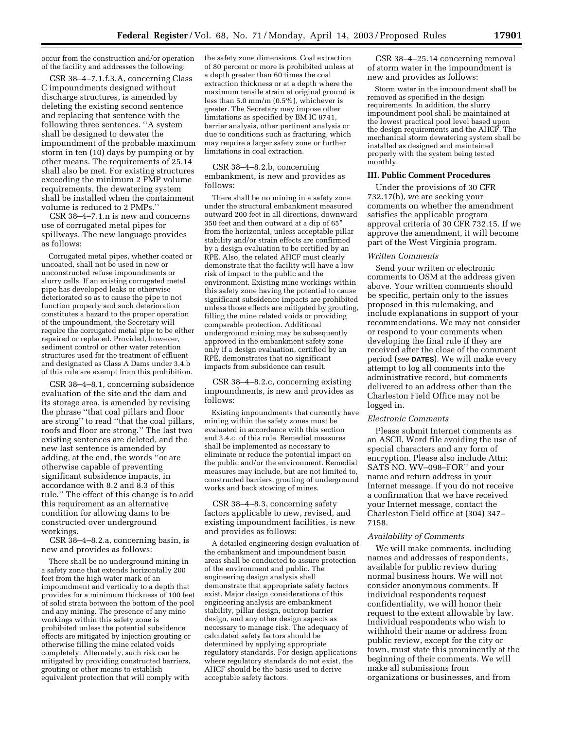occur from the construction and/or operation of the facility and addresses the following:

CSR 38–4–7.1.f.3.A, concerning Class C impoundments designed without discharge structures, is amended by deleting the existing second sentence and replacing that sentence with the following three sentences. ''A system shall be designed to dewater the impoundment of the probable maximum storm in ten (10) days by pumping or by other means. The requirements of 25.14 shall also be met. For existing structures exceeding the minimum 2 PMP volume requirements, the dewatering system shall be installed when the containment volume is reduced to 2 PMPs.''

CSR 38–4–7.1.n is new and concerns use of corrugated metal pipes for spillways. The new language provides as follows:

Corrugated metal pipes, whether coated or uncoated, shall not be used in new or unconstructed refuse impoundments or slurry cells. If an existing corrugated metal pipe has developed leaks or otherwise deteriorated so as to cause the pipe to not function properly and such deterioration constitutes a hazard to the proper operation of the impoundment, the Secretary will require the corrugated metal pipe to be either repaired or replaced. Provided, however, sediment control or other water retention structures used for the treatment of effluent and designated as Class A Dams under 3.4.b of this rule are exempt from this prohibition.

CSR 38–4–8.1, concerning subsidence evaluation of the site and the dam and its storage area, is amended by revising the phrase ''that coal pillars and floor are strong'' to read ''that the coal pillars, roofs and floor are strong.'' The last two existing sentences are deleted, and the new last sentence is amended by adding, at the end, the words ''or are otherwise capable of preventing significant subsidence impacts, in accordance with 8.2 and 8.3 of this rule.'' The effect of this change is to add this requirement as an alternative condition for allowing dams to be constructed over underground workings.

CSR 38–4–8.2.a, concerning basin, is new and provides as follows:

There shall be no underground mining in a safety zone that extends horizontally 200 feet from the high water mark of an impoundment and vertically to a depth that provides for a minimum thickness of 100 feet of solid strata between the bottom of the pool and any mining. The presence of any mine workings within this safety zone is prohibited unless the potential subsidence effects are mitigated by injection grouting or otherwise filling the mine related voids completely. Alternately, such risk can be mitigated by providing constructed barriers, grouting or other means to establish equivalent protection that will comply with

the safety zone dimensions. Coal extraction of 80 percent or more is prohibited unless at a depth greater than 60 times the coal extraction thickness or at a depth where the maximum tensile strain at original ground is less than 5.0 mm/m (0.5%), whichever is greater. The Secretary may impose other limitations as specified by BM IC 8741, barrier analysis, other pertinent analysis or due to conditions such as fracturing, which may require a larger safety zone or further limitations in coal extraction.

CSR 38–4–8.2.b, concerning embankment, is new and provides as follows:

There shall be no mining in a safety zone under the structural embankment measured outward 200 feet in all directions, downward 350 feet and then outward at a dip of 65° from the horizontal, unless acceptable pillar stability and/or strain effects are confirmed by a design evaluation to be certified by an RPE. Also, the related AHCF must clearly demonstrate that the facility will have a low risk of impact to the public and the environment. Existing mine workings within this safety zone having the potential to cause significant subsidence impacts are prohibited unless those effects are mitigated by grouting, filling the mine related voids or providing comparable protection. Additional underground mining may be subsequently approved in the embankment safety zone only if a design evaluation, certified by an RPE, demonstrates that no significant impacts from subsidence can result.

CSR 38–4–8.2.c, concerning existing impoundments, is new and provides as follows:

Existing impoundments that currently have mining within the safety zones must be evaluated in accordance with this section and 3.4.c. of this rule. Remedial measures shall be implemented as necessary to eliminate or reduce the potential impact on the public and/or the environment. Remedial measures may include, but are not limited to, constructed barriers, grouting of underground works and back stowing of mines.

CSR 38–4–8.3, concerning safety factors applicable to new, revised, and existing impoundment facilities, is new and provides as follows:

A detailed engineering design evaluation of the embankment and impoundment basin areas shall be conducted to assure protection of the environment and public. The engineering design analysis shall demonstrate that appropriate safety factors exist. Major design considerations of this engineering analysis are embankment stability, pillar design, outcrop barrier design, and any other design aspects as necessary to manage risk. The adequacy of calculated safety factors should be determined by applying appropriate regulatory standards. For design applications where regulatory standards do not exist, the AHCF should be the basis used to derive acceptable safety factors.

CSR 38–4–25.14 concerning removal of storm water in the impoundment is new and provides as follows:

Storm water in the impoundment shall be removed as specified in the design requirements. In addition, the slurry impoundment pool shall be maintained at the lowest practical pool level based upon the design requirements and the AHCF. The mechanical storm dewatering system shall be installed as designed and maintained properly with the system being tested monthly.

#### **III. Public Comment Procedures**

Under the provisions of 30 CFR 732.17(h), we are seeking your comments on whether the amendment satisfies the applicable program approval criteria of 30 CFR 732.15. If we approve the amendment, it will become part of the West Virginia program.

# *Written Comments*

Send your written or electronic comments to OSM at the address given above. Your written comments should be specific, pertain only to the issues proposed in this rulemaking, and include explanations in support of your recommendations. We may not consider or respond to your comments when developing the final rule if they are received after the close of the comment period (*see* **DATES**). We will make every attempt to log all comments into the administrative record, but comments delivered to an address other than the Charleston Field Office may not be logged in.

# *Electronic Comments*

Please submit Internet comments as an ASCII, Word file avoiding the use of special characters and any form of encryption. Please also include Attn: SATS NO. WV–098–FOR'' and your name and return address in your Internet message. If you do not receive a confirmation that we have received your Internet message, contact the Charleston Field office at (304) 347– 7158.

#### *Availability of Comments*

We will make comments, including names and addresses of respondents, available for public review during normal business hours. We will not consider anonymous comments. If individual respondents request confidentiality, we will honor their request to the extent allowable by law. Individual respondents who wish to withhold their name or address from public review, except for the city or town, must state this prominently at the beginning of their comments. We will make all submissions from organizations or businesses, and from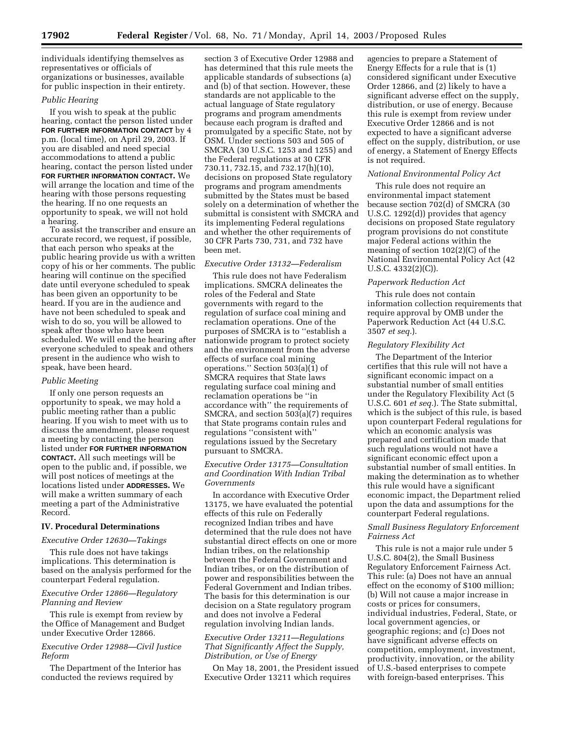individuals identifying themselves as representatives or officials of organizations or businesses, available for public inspection in their entirety.

### *Public Hearing*

If you wish to speak at the public hearing, contact the person listed under **FOR FURTHER INFORMATION CONTACT** by 4 p.m. (local time), on April 29, 2003. If you are disabled and need special accommodations to attend a public hearing, contact the person listed under **FOR FURTHER INFORMATION CONTACT.** We will arrange the location and time of the hearing with those persons requesting the hearing. If no one requests an opportunity to speak, we will not hold a hearing.

To assist the transcriber and ensure an accurate record, we request, if possible, that each person who speaks at the public hearing provide us with a written copy of his or her comments. The public hearing will continue on the specified date until everyone scheduled to speak has been given an opportunity to be heard. If you are in the audience and have not been scheduled to speak and wish to do so, you will be allowed to speak after those who have been scheduled. We will end the hearing after everyone scheduled to speak and others present in the audience who wish to speak, have been heard.

## *Public Meeting*

If only one person requests an opportunity to speak, we may hold a public meeting rather than a public hearing. If you wish to meet with us to discuss the amendment, please request a meeting by contacting the person listed under **FOR FURTHER INFORMATION CONTACT.** All such meetings will be open to the public and, if possible, we will post notices of meetings at the locations listed under **ADDRESSES.** We will make a written summary of each meeting a part of the Administrative Record.

### **IV. Procedural Determinations**

### *Executive Order 12630—Takings*

This rule does not have takings implications. This determination is based on the analysis performed for the counterpart Federal regulation.

# *Executive Order 12866—Regulatory Planning and Review*

This rule is exempt from review by the Office of Management and Budget under Executive Order 12866.

# *Executive Order 12988—Civil Justice Reform*

The Department of the Interior has conducted the reviews required by

section 3 of Executive Order 12988 and has determined that this rule meets the applicable standards of subsections (a) and (b) of that section. However, these standards are not applicable to the actual language of State regulatory programs and program amendments because each program is drafted and promulgated by a specific State, not by OSM. Under sections 503 and 505 of SMCRA (30 U.S.C. 1253 and 1255) and the Federal regulations at 30 CFR 730.11, 732.15, and 732.17(h)(10), decisions on proposed State regulatory programs and program amendments submitted by the States must be based solely on a determination of whether the submittal is consistent with SMCRA and its implementing Federal regulations and whether the other requirements of 30 CFR Parts 730, 731, and 732 have been met.

## *Executive Order 13132—Federalism*

This rule does not have Federalism implications. SMCRA delineates the roles of the Federal and State governments with regard to the regulation of surface coal mining and reclamation operations. One of the purposes of SMCRA is to ''establish a nationwide program to protect society and the environment from the adverse effects of surface coal mining operations.'' Section 503(a)(1) of SMCRA requires that State laws regulating surface coal mining and reclamation operations be ''in accordance with'' the requirements of SMCRA, and section 503(a)(7) requires that State programs contain rules and regulations ''consistent with'' regulations issued by the Secretary pursuant to SMCRA.

# *Executive Order 13175—Consultation and Coordination With Indian Tribal Governments*

In accordance with Executive Order 13175, we have evaluated the potential effects of this rule on Federally recognized Indian tribes and have determined that the rule does not have substantial direct effects on one or more Indian tribes, on the relationship between the Federal Government and Indian tribes, or on the distribution of power and responsibilities between the Federal Government and Indian tribes. The basis for this determination is our decision on a State regulatory program and does not involve a Federal regulation involving Indian lands.

## *Executive Order 13211—Regulations That Significantly Affect the Supply, Distribution, or Use of Energy*

On May 18, 2001, the President issued Executive Order 13211 which requires

agencies to prepare a Statement of Energy Effects for a rule that is (1) considered significant under Executive Order 12866, and (2) likely to have a significant adverse effect on the supply, distribution, or use of energy. Because this rule is exempt from review under Executive Order 12866 and is not expected to have a significant adverse effect on the supply, distribution, or use of energy, a Statement of Energy Effects is not required.

#### *National Environmental Policy Act*

This rule does not require an environmental impact statement because section 702(d) of SMCRA (30 U.S.C. 1292(d)) provides that agency decisions on proposed State regulatory program provisions do not constitute major Federal actions within the meaning of section 102(2)(C) of the National Environmental Policy Act (42 U.S.C. 4332(2)(C)).

### *Paperwork Reduction Act*

This rule does not contain information collection requirements that require approval by OMB under the Paperwork Reduction Act (44 U.S.C. 3507 *et seq.*).

### *Regulatory Flexibility Act*

The Department of the Interior certifies that this rule will not have a significant economic impact on a substantial number of small entities under the Regulatory Flexibility Act (5 U.S.C. 601 *et seq.*). The State submittal, which is the subject of this rule, is based upon counterpart Federal regulations for which an economic analysis was prepared and certification made that such regulations would not have a significant economic effect upon a substantial number of small entities. In making the determination as to whether this rule would have a significant economic impact, the Department relied upon the data and assumptions for the counterpart Federal regulations.

## *Small Business Regulatory Enforcement Fairness Act*

This rule is not a major rule under 5 U.S.C. 804(2), the Small Business Regulatory Enforcement Fairness Act. This rule: (a) Does not have an annual effect on the economy of \$100 million; (b) Will not cause a major increase in costs or prices for consumers, individual industries, Federal, State, or local government agencies, or geographic regions; and (c) Does not have significant adverse effects on competition, employment, investment, productivity, innovation, or the ability of U.S.-based enterprises to compete with foreign-based enterprises. This